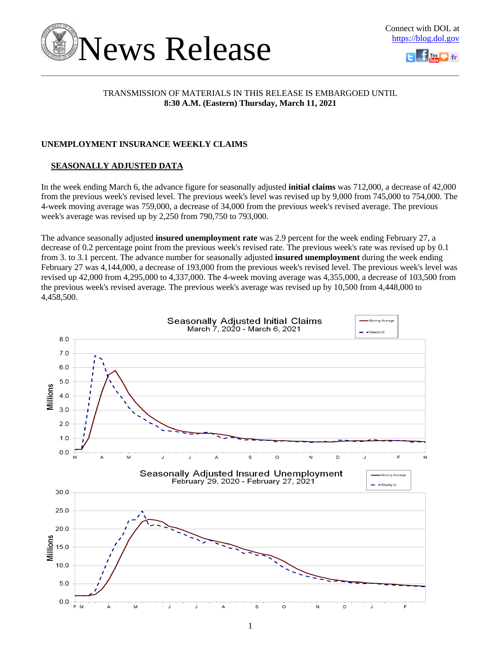



### TRANSMISSION OF MATERIALS IN THIS RELEASE IS EMBARGOED UNTIL **8:30 A.M. (Eastern) Thursday, March 11, 2021**

### **UNEMPLOYMENT INSURANCE WEEKLY CLAIMS**

### **SEASONALLY ADJUSTED DATA**

In the week ending March 6, the advance figure for seasonally adjusted **initial claims** was 712,000, a decrease of 42,000 from the previous week's revised level. The previous week's level was revised up by 9,000 from 745,000 to 754,000. The 4-week moving average was 759,000, a decrease of 34,000 from the previous week's revised average. The previous week's average was revised up by 2,250 from 790,750 to 793,000.

The advance seasonally adjusted **insured unemployment rate** was 2.9 percent for the week ending February 27, a decrease of 0.2 percentage point from the previous week's revised rate. The previous week's rate was revised up by 0.1 from 3. to 3.1 percent. The advance number for seasonally adjusted **insured unemployment** during the week ending February 27 was 4,144,000, a decrease of 193,000 from the previous week's revised level. The previous week's level was revised up 42,000 from 4,295,000 to 4,337,000. The 4-week moving average was 4,355,000, a decrease of 103,500 from the previous week's revised average. The previous week's average was revised up by 10,500 from 4,448,000 to 4,458,500.

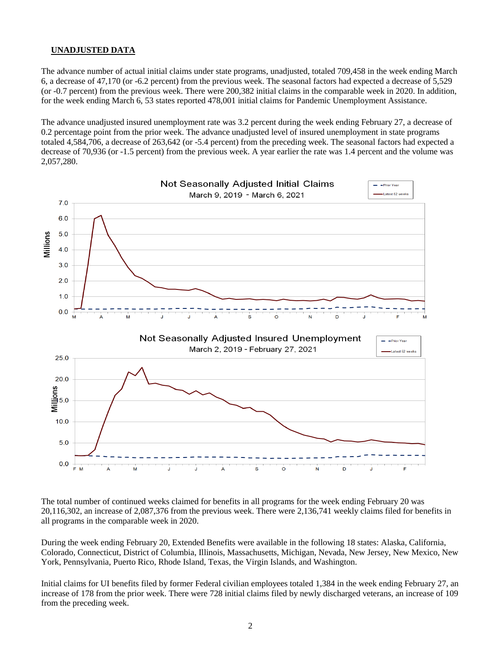### **UNADJUSTED DATA**

The advance number of actual initial claims under state programs, unadjusted, totaled 709,458 in the week ending March 6, a decrease of 47,170 (or -6.2 percent) from the previous week. The seasonal factors had expected a decrease of 5,529 (or -0.7 percent) from the previous week. There were 200,382 initial claims in the comparable week in 2020. In addition, for the week ending March 6, 53 states reported 478,001 initial claims for Pandemic Unemployment Assistance.

The advance unadjusted insured unemployment rate was 3.2 percent during the week ending February 27, a decrease of 0.2 percentage point from the prior week. The advance unadjusted level of insured unemployment in state programs totaled 4,584,706, a decrease of 263,642 (or -5.4 percent) from the preceding week. The seasonal factors had expected a decrease of 70,936 (or -1.5 percent) from the previous week. A year earlier the rate was 1.4 percent and the volume was 2,057,280.



The total number of continued weeks claimed for benefits in all programs for the week ending February 20 was 20,116,302, an increase of 2,087,376 from the previous week. There were 2,136,741 weekly claims filed for benefits in all programs in the comparable week in 2020.

During the week ending February 20, Extended Benefits were available in the following 18 states: Alaska, California, Colorado, Connecticut, District of Columbia, Illinois, Massachusetts, Michigan, Nevada, New Jersey, New Mexico, New York, Pennsylvania, Puerto Rico, Rhode Island, Texas, the Virgin Islands, and Washington.

Initial claims for UI benefits filed by former Federal civilian employees totaled 1,384 in the week ending February 27, an increase of 178 from the prior week. There were 728 initial claims filed by newly discharged veterans, an increase of 109 from the preceding week.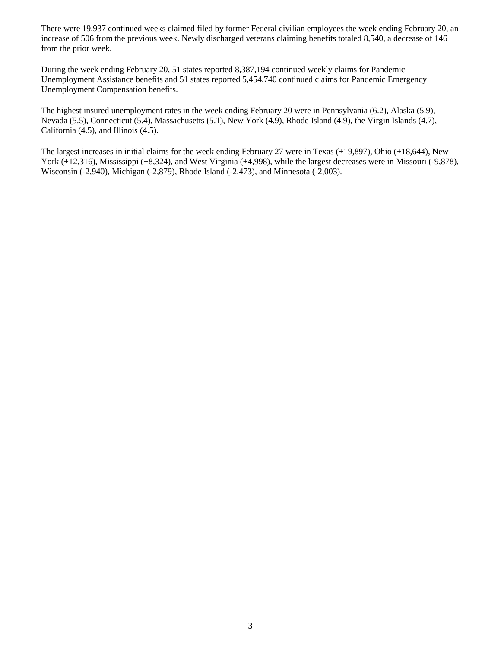There were 19,937 continued weeks claimed filed by former Federal civilian employees the week ending February 20, an increase of 506 from the previous week. Newly discharged veterans claiming benefits totaled 8,540, a decrease of 146 from the prior week.

During the week ending February 20, 51 states reported 8,387,194 continued weekly claims for Pandemic Unemployment Assistance benefits and 51 states reported 5,454,740 continued claims for Pandemic Emergency Unemployment Compensation benefits.

The highest insured unemployment rates in the week ending February 20 were in Pennsylvania (6.2), Alaska (5.9), Nevada (5.5), Connecticut (5.4), Massachusetts (5.1), New York (4.9), Rhode Island (4.9), the Virgin Islands (4.7), California (4.5), and Illinois (4.5).

The largest increases in initial claims for the week ending February 27 were in Texas (+19,897), Ohio (+18,644), New York (+12,316), Mississippi (+8,324), and West Virginia (+4,998), while the largest decreases were in Missouri (-9,878), Wisconsin (-2,940), Michigan (-2,879), Rhode Island (-2,473), and Minnesota (-2,003).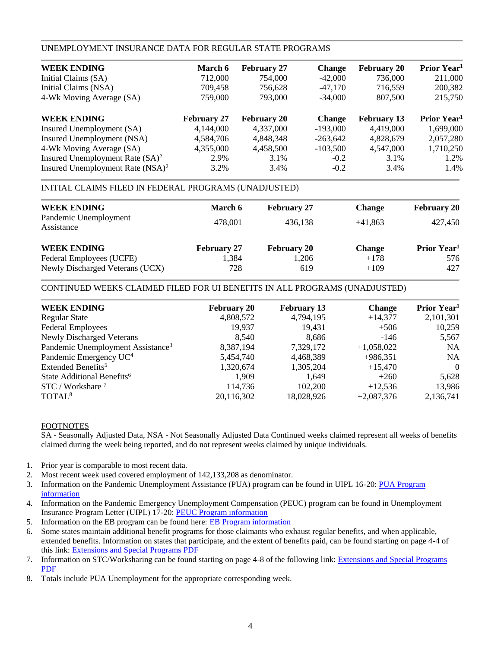### UNEMPLOYMENT INSURANCE DATA FOR REGULAR STATE PROGRAMS

| <b>WEEK ENDING</b>                  | <b>March 6</b>     | <b>February 27</b> | <b>Change</b> | <b>February 20</b> | Prior Year <sup>1</sup> |
|-------------------------------------|--------------------|--------------------|---------------|--------------------|-------------------------|
| Initial Claims (SA)                 | 712,000            | 754,000            | $-42,000$     | 736,000            | 211,000                 |
| Initial Claims (NSA)                | 709,458            | 756,628            | $-47,170$     | 716,559            | 200,382                 |
| 4-Wk Moving Average (SA)            | 759,000            | 793,000            | $-34,000$     | 807,500            | 215,750                 |
| <b>WEEK ENDING</b>                  | <b>February 27</b> | <b>February 20</b> | <b>Change</b> | <b>February 13</b> | Prior Year <sup>1</sup> |
| Insured Unemployment (SA)           | 4,144,000          | 4,337,000          | $-193,000$    | 4,419,000          | 1,699,000               |
| Insured Unemployment (NSA)          | 4,584,706          | 4,848,348          | $-263,642$    | 4,828,679          | 2,057,280               |
| 4-Wk Moving Average (SA)            | 4,355,000          | 4,458,500          | $-103,500$    | 4,547,000          | 1,710,250               |
| Insured Unemployment Rate $(SA)^2$  | 2.9%               | 3.1%               | $-0.2$        | 3.1%               | 1.2%                    |
| Insured Unemployment Rate $(NSA)^2$ | 3.2%               | 3.4%               | $-0.2$        | 3.4%               | 1.4%                    |

### INITIAL CLAIMS FILED IN FEDERAL PROGRAMS (UNADJUSTED)

| <b>WEEK ENDING</b><br>Pandemic Unemployment<br>Assistance | <b>March 6</b><br>478,001 | <b>February 27</b><br>436.138 | <b>Change</b><br>$+41.863$ | <b>February 20</b><br>427,450  |
|-----------------------------------------------------------|---------------------------|-------------------------------|----------------------------|--------------------------------|
| <b>WEEK ENDING</b>                                        | <b>February 27</b>        | <b>February 20</b>            | <b>Change</b>              | <b>Prior Year</b> <sup>1</sup> |
| Federal Employees (UCFE)                                  | 1,384                     | 1.206                         | $+178$                     | 576                            |
| Newly Discharged Veterans (UCX)                           | 728                       | 619                           | $+109$                     | 427                            |

### CONTINUED WEEKS CLAIMED FILED FOR UI BENEFITS IN ALL PROGRAMS (UNADJUSTED)

| <b>WEEK ENDING</b>                            | <b>February 20</b> | <b>February 13</b> | <b>Change</b> | Prior Year <sup>1</sup> |
|-----------------------------------------------|--------------------|--------------------|---------------|-------------------------|
| <b>Regular State</b>                          | 4,808,572          | 4,794,195          | $+14,377$     | 2,101,301               |
| <b>Federal Employees</b>                      | 19,937             | 19,431             | $+506$        | 10,259                  |
| <b>Newly Discharged Veterans</b>              | 8.540              | 8,686              | $-146$        | 5,567                   |
| Pandemic Unemployment Assistance <sup>3</sup> | 8,387,194          | 7,329,172          | $+1,058,022$  | <b>NA</b>               |
| Pandemic Emergency UC <sup>4</sup>            | 5,454,740          | 4,468,389          | $+986,351$    | <b>NA</b>               |
| Extended Benefits <sup>5</sup>                | 1,320,674          | 1,305,204          | $+15,470$     | $\Omega$                |
| State Additional Benefits <sup>6</sup>        | 1,909              | 1.649              | $+260$        | 5,628                   |
| $STC / Workshare$ <sup>7</sup>                | 114,736            | 102,200            | $+12,536$     | 13,986                  |
| TOTAL <sup>8</sup>                            | 20,116,302         | 18,028,926         | $+2,087,376$  | 2,136,741               |
|                                               |                    |                    |               |                         |

### FOOTNOTES

SA - Seasonally Adjusted Data, NSA - Not Seasonally Adjusted Data Continued weeks claimed represent all weeks of benefits claimed during the week being reported, and do not represent weeks claimed by unique individuals.

- 1. Prior year is comparable to most recent data.
- 2. Most recent week used covered employment of 142,133,208 as denominator.
- 3. Information on the Pandemic Unemployment Assistance (PUA) program can be found in UIPL 16-20: PUA Program [information](https://wdr.doleta.gov/directives/corr_doc.cfm?DOCN=4628)
- 4. Information on the Pandemic Emergency Unemployment Compensation (PEUC) program can be found in Unemployment Insurance Program Letter (UIPL) 17-20: [PEUC Program information](https://wdr.doleta.gov/directives/corr_doc.cfm?DOCN=8452)
- 5. Information on the EB program can be found here: **EB Program information**
- 6. Some states maintain additional benefit programs for those claimants who exhaust regular benefits, and when applicable, extended benefits. Information on states that participate, and the extent of benefits paid, can be found starting on page 4-4 of this link: [Extensions and Special Programs PDF](https://oui.doleta.gov/unemploy/pdf/uilawcompar/2020/special.pdf#page=4)
- 7. Information on STC/Worksharing can be found starting on page 4-8 of the following link: [Extensions and Special Programs](https://oui.doleta.gov/unemploy/pdf/uilawcompar/2019/special.pdf#page=8)  [PDF](https://oui.doleta.gov/unemploy/pdf/uilawcompar/2019/special.pdf#page=8)
- 8. Totals include PUA Unemployment for the appropriate corresponding week.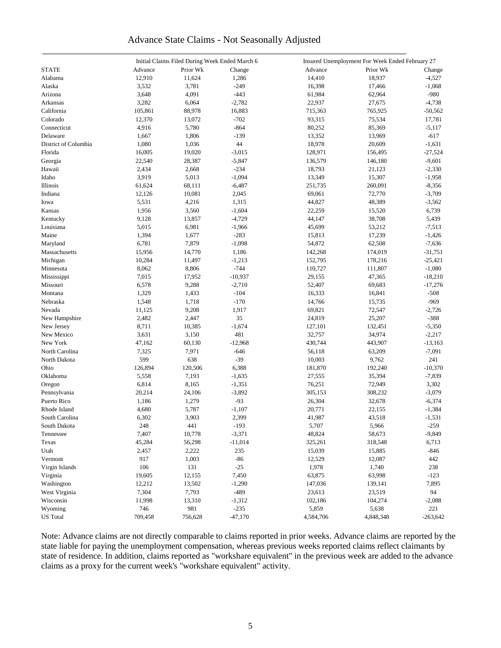### Advance State Claims - Not Seasonally Adjusted

|                      |         | Initial Claims Filed During Week Ended March 6 |           |           | Insured Unemployment For Week Ended February 27 |            |
|----------------------|---------|------------------------------------------------|-----------|-----------|-------------------------------------------------|------------|
| <b>STATE</b>         | Advance | Prior Wk                                       | Change    | Advance   | Prior Wk                                        | Change     |
| Alabama              | 12,910  | 11,624                                         | 1,286     | 14,410    | 18,937                                          | $-4,527$   |
| Alaska               | 3,532   | 3,781                                          | $-249$    | 16,398    | 17,466                                          | $-1,068$   |
| Arizona              | 3,648   | 4,091                                          | $-443$    | 61,984    | 62,964                                          | -980       |
| Arkansas             | 3,282   | 6,064                                          | $-2,782$  | 22,937    | 27,675                                          | $-4,738$   |
| California           | 105,861 | 88,978                                         | 16,883    | 715,363   | 765,925                                         | $-50,562$  |
| Colorado             | 12,370  | 13,072                                         | $-702$    | 93,315    | 75,534                                          | 17,781     |
| Connecticut          | 4,916   | 5,780                                          | $-864$    | 80,252    | 85,369                                          | $-5,117$   |
| Delaware             | 1,667   | 1,806                                          | $-139$    | 13,352    | 13,969                                          | $-617$     |
| District of Columbia | 1,080   | 1,036                                          | 44        | 18,978    | 20,609                                          | $-1,631$   |
| Florida              | 16,005  | 19,020                                         | $-3,015$  | 128,971   | 156,495                                         | $-27,524$  |
| Georgia              | 22,540  | 28,387                                         | $-5,847$  | 136,579   | 146,180                                         | $-9,601$   |
| Hawaii               | 2,434   | 2,668                                          | $-234$    | 18,793    | 21,123                                          | $-2,330$   |
| Idaho                | 3,919   | 5,013                                          | $-1,094$  | 13,349    | 15,307                                          | $-1,958$   |
| Illinois             | 61,624  | 68,111                                         | $-6,487$  | 251,735   | 260,091                                         | $-8,356$   |
| Indiana              | 12,126  | 10,081                                         | 2,045     | 69,061    | 72,770                                          | $-3,709$   |
|                      |         |                                                |           |           |                                                 |            |
| Iowa                 | 5,531   | 4,216                                          | 1,315     | 44,827    | 48,389                                          | $-3,562$   |
| Kansas               | 1,956   | 3,560                                          | $-1,604$  | 22,259    | 15,520                                          | 6,739      |
| Kentucky             | 9,128   | 13,857                                         | $-4,729$  | 44,147    | 38,708                                          | 5,439      |
| Louisiana            | 5,015   | 6,981                                          | $-1,966$  | 45,699    | 53,212                                          | $-7,513$   |
| Maine                | 1,394   | 1,677                                          | $-283$    | 15,813    | 17,239                                          | $-1,426$   |
| Maryland             | 6,781   | 7,879                                          | $-1,098$  | 54,872    | 62,508                                          | $-7,636$   |
| Massachusetts        | 15,956  | 14,770                                         | 1,186     | 142,268   | 174,019                                         | $-31,751$  |
| Michigan             | 10,284  | 11,497                                         | $-1,213$  | 152,795   | 178,216                                         | $-25,421$  |
| Minnesota            | 8,062   | 8,806                                          | $-744$    | 110,727   | 111,807                                         | $-1,080$   |
| Mississippi          | 7,015   | 17,952                                         | $-10,937$ | 29,155    | 47,365                                          | $-18,210$  |
| Missouri             | 6,578   | 9,288                                          | $-2,710$  | 52,407    | 69,683                                          | $-17,276$  |
| Montana              | 1,329   | 1,433                                          | $-104$    | 16,333    | 16,841                                          | $-508$     |
| Nebraska             | 1,548   | 1,718                                          | $-170$    | 14,766    | 15,735                                          | $-969$     |
| Nevada               | 11,125  | 9,208                                          | 1,917     | 69,821    | 72,547                                          | $-2,726$   |
| New Hampshire        | 2,482   | 2,447                                          | 35        | 24,819    | 25,207                                          | $-388$     |
| New Jersey           | 8,711   | 10,385                                         | $-1,674$  | 127,101   | 132,451                                         | $-5,350$   |
| New Mexico           | 3,631   | 3,150                                          | 481       | 32,757    | 34,974                                          | $-2,217$   |
| New York             | 47,162  | 60,130                                         | $-12,968$ | 430,744   | 443,907                                         | $-13,163$  |
| North Carolina       | 7,325   | 7,971                                          | $-646$    | 56,118    | 63,209                                          | $-7,091$   |
| North Dakota         | 599     | 638                                            | $-39$     | 10,003    | 9,762                                           | 241        |
| Ohio                 | 126,894 | 120,506                                        | 6,388     | 181,870   | 192,240                                         | $-10,370$  |
| Oklahoma             | 5,558   | 7,193                                          | $-1,635$  | 27,555    | 35,394                                          | $-7,839$   |
| Oregon               | 6,814   | 8,165                                          | $-1,351$  | 76,251    | 72,949                                          | 3,302      |
| Pennsylvania         | 20,214  | 24,106                                         | $-3,892$  | 305,153   | 308,232                                         | $-3,079$   |
| Puerto Rico          | 1,186   | 1,279                                          | $-93$     | 26,304    | 32,678                                          | $-6,374$   |
| Rhode Island         | 4,680   | 5,787                                          | $-1,107$  | 20,771    | 22,155                                          | $-1,384$   |
| South Carolina       | 6,302   | 3,903                                          | 2,399     | 41,987    | 43,518                                          | $-1,531$   |
| South Dakota         | 248     | 441                                            | $-193$    | 5,707     | 5,966                                           | $-259$     |
| Tennessee            | 7,407   | 10,778                                         | $-3,371$  | 48,824    | 58,673                                          | $-9,849$   |
| Texas                | 45,284  | 56,298                                         | $-11,014$ | 325,261   | 318,548                                         | 6,713      |
| Utah                 | 2,457   | 2,222                                          | 235       | 15,039    | 15,885                                          | $-846$     |
| Vermont              | 917     | 1,003                                          | $-86$     | 12,529    | 12,087                                          | 442        |
| Virgin Islands       | 106     | 131                                            | $-25$     | 1,978     | 1,740                                           | 238        |
| Virginia             | 19,605  | 12,155                                         | 7,450     | 63,875    | 63,998                                          | $-123$     |
| Washington           | 12,212  | 13,502                                         | $-1,290$  | 147,036   | 139,141                                         | 7,895      |
| West Virginia        | 7,304   | 7,793                                          | $-489$    | 23,613    | 23,519                                          | 94         |
| Wisconsin            | 11,998  | 13,310                                         | $-1,312$  | 102,186   | 104,274                                         | $-2,088$   |
| Wyoming              | 746     | 981                                            | $-235$    | 5,859     | 5,638                                           | 221        |
| <b>US</b> Total      | 709,458 | 756,628                                        | $-47,170$ | 4,584,706 | 4,848,348                                       | $-263,642$ |
|                      |         |                                                |           |           |                                                 |            |

Note: Advance claims are not directly comparable to claims reported in prior weeks. Advance claims are reported by the state liable for paying the unemployment compensation, whereas previous weeks reported claims reflect claimants by state of residence. In addition, claims reported as "workshare equivalent" in the previous week are added to the advance claims as a proxy for the current week's "workshare equivalent" activity.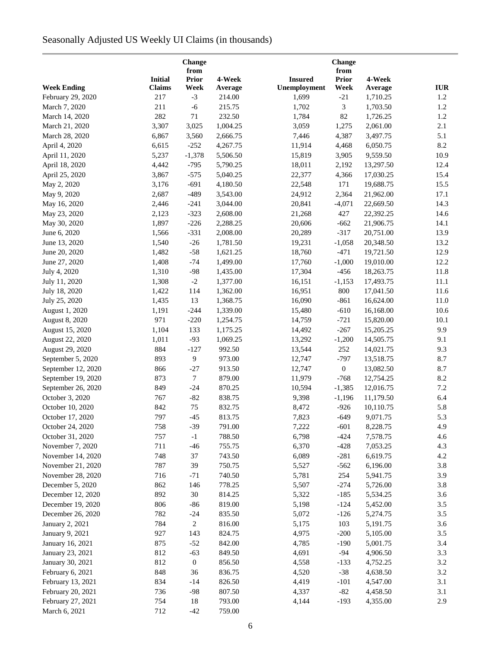# Seasonally Adjusted US Weekly UI Claims (in thousands)

|                    |                | Change<br>from   |          |                | <b>Change</b><br>from |           |            |  |  |
|--------------------|----------------|------------------|----------|----------------|-----------------------|-----------|------------|--|--|
|                    | <b>Initial</b> | <b>Prior</b>     | 4-Week   | <b>Insured</b> | <b>Prior</b>          | 4-Week    |            |  |  |
| <b>Week Ending</b> | <b>Claims</b>  | Week             | Average  | Unemployment   | Week                  | Average   | <b>IUR</b> |  |  |
| February 29, 2020  | 217            | $-3$             | 214.00   | 1,699          | $-21$                 | 1,710.25  | 1.2        |  |  |
| March 7, 2020      | 211            | $-6$             | 215.75   | 1,702          | 3                     | 1,703.50  | 1.2        |  |  |
| March 14, 2020     | 282            | $71\,$           | 232.50   | 1,784          | 82                    | 1,726.25  | 1.2        |  |  |
| March 21, 2020     | 3,307          | 3,025            | 1,004.25 | 3,059          | 1,275                 | 2,061.00  | 2.1        |  |  |
| March 28, 2020     | 6,867          | 3,560            | 2,666.75 | 7,446          | 4,387                 | 3,497.75  | 5.1        |  |  |
| April 4, 2020      | 6,615          | $-252$           | 4,267.75 | 11,914         | 4,468                 | 6,050.75  | 8.2        |  |  |
| April 11, 2020     | 5,237          | $-1,378$         | 5,506.50 | 15,819         | 3,905                 | 9,559.50  | 10.9       |  |  |
| April 18, 2020     | 4,442          | $-795$           | 5,790.25 | 18,011         | 2,192                 | 13,297.50 | 12.4       |  |  |
| April 25, 2020     | 3,867          | $-575$           | 5,040.25 | 22,377         | 4,366                 | 17,030.25 | 15.4       |  |  |
|                    | 3,176          | $-691$           | 4,180.50 | 22,548         | 171                   | 19,688.75 | 15.5       |  |  |
| May 2, 2020        |                |                  |          |                |                       |           |            |  |  |
| May 9, 2020        | 2,687          | $-489$           | 3,543.00 | 24,912         | 2,364                 | 21,962.00 | 17.1       |  |  |
| May 16, 2020       | 2,446          | $-241$           | 3,044.00 | 20,841         | $-4,071$              | 22,669.50 | 14.3       |  |  |
| May 23, 2020       | 2,123          | $-323$           | 2,608.00 | 21,268         | 427                   | 22,392.25 | 14.6       |  |  |
| May 30, 2020       | 1,897          | $-226$           | 2,288.25 | 20,606         | $-662$                | 21,906.75 | 14.1       |  |  |
| June 6, 2020       | 1,566          | $-331$           | 2,008.00 | 20,289         | $-317$                | 20,751.00 | 13.9       |  |  |
| June 13, 2020      | 1,540          | $-26$            | 1,781.50 | 19,231         | $-1,058$              | 20,348.50 | 13.2       |  |  |
| June 20, 2020      | 1,482          | $-58$            | 1,621.25 | 18,760         | $-471$                | 19,721.50 | 12.9       |  |  |
| June 27, 2020      | 1,408          | $-74$            | 1,499.00 | 17,760         | $-1,000$              | 19,010.00 | 12.2       |  |  |
| July 4, 2020       | 1,310          | $-98$            | 1,435.00 | 17,304         | $-456$                | 18,263.75 | 11.8       |  |  |
| July 11, 2020      | 1,308          | $-2$             | 1,377.00 | 16,151         | $-1,153$              | 17,493.75 | 11.1       |  |  |
| July 18, 2020      | 1,422          | 114              | 1,362.00 | 16,951         | 800                   | 17,041.50 | 11.6       |  |  |
| July 25, 2020      | 1,435          | 13               | 1,368.75 | 16,090         | $-861$                | 16,624.00 | 11.0       |  |  |
| August 1, 2020     | 1,191          | $-244$           | 1,339.00 | 15,480         | $-610$                | 16,168.00 | 10.6       |  |  |
| August 8, 2020     | 971            | $-220$           | 1,254.75 | 14,759         | $-721$                | 15,820.00 | 10.1       |  |  |
| August 15, 2020    | 1,104          | 133              | 1,175.25 | 14,492         | $-267$                | 15,205.25 | 9.9        |  |  |
| August 22, 2020    | 1,011          | $-93$            | 1,069.25 | 13,292         | $-1,200$              | 14,505.75 | 9.1        |  |  |
| August 29, 2020    | 884            | $-127$           | 992.50   | 13,544         | 252                   | 14,021.75 | 9.3        |  |  |
| September 5, 2020  | 893            | $\overline{9}$   | 973.00   | 12,747         | $-797$                | 13,518.75 | 8.7        |  |  |
| September 12, 2020 | 866            | $-27$            | 913.50   | 12,747         | $\boldsymbol{0}$      | 13,082.50 | 8.7        |  |  |
| September 19, 2020 | 873            | $\tau$           | 879.00   | 11,979         | $-768$                | 12,754.25 | 8.2        |  |  |
| September 26, 2020 | 849            | $-24$            | 870.25   | 10,594         | $-1,385$              | 12,016.75 | 7.2        |  |  |
| October 3, 2020    | 767            | $-82$            | 838.75   | 9,398          | $-1,196$              | 11,179.50 | 6.4        |  |  |
| October 10, 2020   | 842            | 75               | 832.75   | 8,472          | $-926$                | 10,110.75 | 5.8        |  |  |
| October 17, 2020   | 797            | $-45$            | 813.75   | 7,823          | $-649$                | 9,071.75  | 5.3        |  |  |
| October 24, 2020   | 758            | $-39$            | 791.00   | 7,222          | $-601$                | 8,228.75  | 4.9        |  |  |
| October 31, 2020   | 757            | $-1$             | 788.50   | 6,798          | $-424$                | 7,578.75  | 4.6        |  |  |
| November 7, 2020   | 711            | $-46$            | 755.75   | 6,370          | $-428$                | 7,053.25  | 4.3        |  |  |
| November 14, 2020  | 748            | 37               | 743.50   | 6,089          | $-281$                | 6,619.75  | 4.2        |  |  |
| November 21, 2020  | 787            | 39               | 750.75   | 5,527          | $-562$                | 6,196.00  | 3.8        |  |  |
| November 28, 2020  | 716            | $-71$            | 740.50   | 5,781          | 254                   | 5,941.75  | 3.9        |  |  |
| December 5, 2020   | 862            | 146              | 778.25   | 5,507          | $-274$                | 5,726.00  | 3.8        |  |  |
| December 12, 2020  | 892            | $30\,$           | 814.25   | 5,322          | $-185$                | 5,534.25  | 3.6        |  |  |
| December 19, 2020  | 806            | $-86$            | 819.00   | 5,198          | $-124$                | 5,452.00  | 3.5        |  |  |
|                    |                |                  |          |                |                       |           |            |  |  |
| December 26, 2020  | 782            | $-24$            | 835.50   | 5,072          | $-126$                | 5,274.75  | 3.5        |  |  |
| January 2, 2021    | 784            | 2                | 816.00   | 5,175          | 103                   | 5,191.75  | 3.6        |  |  |
| January 9, 2021    | 927            | 143              | 824.75   | 4,975          | $-200$                | 5,105.00  | 3.5        |  |  |
| January 16, 2021   | 875            | $-52$            | 842.00   | 4,785          | $-190$                | 5,001.75  | 3.4        |  |  |
| January 23, 2021   | 812            | $-63$            | 849.50   | 4,691          | $-94$                 | 4,906.50  | 3.3        |  |  |
| January 30, 2021   | 812            | $\boldsymbol{0}$ | 856.50   | 4,558          | $-133$                | 4,752.25  | 3.2        |  |  |
| February 6, 2021   | 848            | 36               | 836.75   | 4,520          | $-38$                 | 4,638.50  | 3.2        |  |  |
| February 13, 2021  | 834            | $-14$            | 826.50   | 4,419          | $-101$                | 4,547.00  | 3.1        |  |  |
| February 20, 2021  | 736            | $-98$            | 807.50   | 4,337          | $-82$                 | 4,458.50  | 3.1        |  |  |
| February 27, 2021  | 754            | 18               | 793.00   | 4,144          | $-193$                | 4,355.00  | 2.9        |  |  |
| March 6, 2021      | 712            | $-42$            | 759.00   |                |                       |           |            |  |  |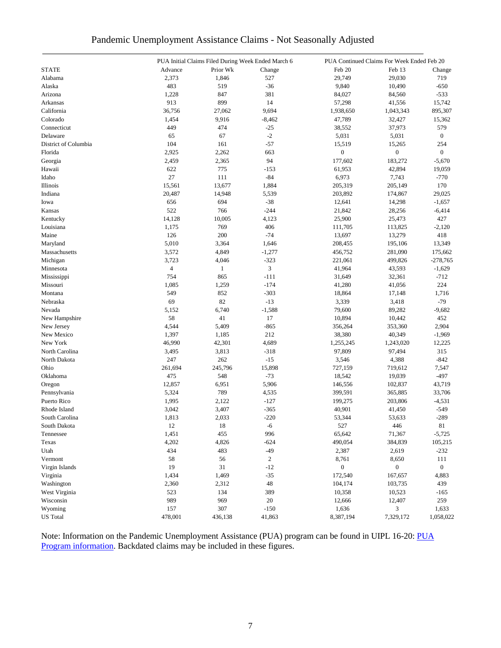|  | Pandemic Unemployment Assistance Claims - Not Seasonally Adjusted |  |  |
|--|-------------------------------------------------------------------|--|--|
|  |                                                                   |  |  |

|                      |                | PUA Initial Claims Filed During Week Ended March 6 |              | PUA Continued Claims For Week Ended Feb 20 |                  |                  |
|----------------------|----------------|----------------------------------------------------|--------------|--------------------------------------------|------------------|------------------|
| <b>STATE</b>         | Advance        | Prior Wk                                           | Change       | Feb 20                                     | Feb 13           | Change           |
| Alabama              | 2,373          | 1,846                                              | 527          | 29,749                                     | 29,030           | 719              |
| Alaska               | 483            | 519                                                | $-36$        | 9,840                                      | 10,490           | $-650$           |
| Arizona              | 1,228          | 847                                                | 381          | 84,027                                     | 84,560           | $-533$           |
| Arkansas             | 913            | 899                                                | 14           | 57,298                                     | 41,556           | 15,742           |
| California           | 36,756         | 27,062                                             | 9,694        | 1,938,650                                  | 1,043,343        | 895,307          |
| Colorado             | 1,454          | 9,916                                              | $-8,462$     | 47,789                                     | 32,427           | 15,362           |
| Connecticut          | 449            | 474                                                | $-25$        | 38,552                                     | 37,973           | 579              |
| Delaware             | 65             | 67                                                 | $-2$         | 5,031                                      | 5,031            | $\boldsymbol{0}$ |
| District of Columbia | 104            | 161                                                | $-57$        | 15,519                                     | 15,265           | 254              |
| Florida              | 2,925          | 2,262                                              | 663          | $\boldsymbol{0}$                           | $\boldsymbol{0}$ | $\boldsymbol{0}$ |
| Georgia              | 2,459          | 2,365                                              | 94           | 177,602                                    | 183,272          | $-5,670$         |
| Hawaii               | 622            | 775                                                | $-153$       | 61,953                                     | 42,894           | 19,059           |
| Idaho                | 27             | 111                                                | $-84$        | 6,973                                      | 7,743            | $-770$           |
| Illinois             | 15,561         | 13,677                                             | 1,884        | 205,319                                    | 205,149          | 170              |
| Indiana              | 20,487         | 14,948                                             | 5,539        | 203,892                                    | 174,867          | 29,025           |
|                      |                | 694                                                |              |                                            |                  |                  |
| Iowa                 | 656            |                                                    | $-38$        | 12,641                                     | 14,298           | $-1,657$         |
| Kansas               | 522            | 766                                                | $-244$       | 21,842                                     | 28,256           | $-6,414$         |
| Kentucky             | 14,128         | 10,005                                             | 4,123        | 25,900                                     | 25,473           | 427              |
| Louisiana            | 1,175          | 769                                                | 406          | 111,705                                    | 113,825          | $-2,120$         |
| Maine                | 126            | 200                                                | $-74$        | 13,697                                     | 13,279           | 418              |
| Maryland             | 5,010          | 3,364                                              | 1,646        | 208,455                                    | 195,106          | 13,349           |
| Massachusetts        | 3,572          | 4,849                                              | $-1,277$     | 456,752                                    | 281,090          | 175,662          |
| Michigan             | 3,723          | 4,046                                              | $-323$       | 221,061                                    | 499,826          | $-278,765$       |
| Minnesota            | $\overline{4}$ | $\mathbf{1}$                                       | 3            | 41,964                                     | 43,593           | $-1,629$         |
| Mississippi          | 754            | 865                                                | $-111$       | 31,649                                     | 32,361           | $-712$           |
| Missouri             | 1,085          | 1,259                                              | $-174$       | 41,280                                     | 41,056           | 224              |
| Montana              | 549            | 852                                                | $-303$       | 18,864                                     | 17,148           | 1,716            |
| Nebraska             | 69             | 82                                                 | $-13$        | 3,339                                      | 3,418            | $-79$            |
| Nevada               | 5,152          | 6,740                                              | $-1,588$     | 79,600                                     | 89,282           | $-9,682$         |
| New Hampshire        | 58             | 41                                                 | 17           | 10,894                                     | 10,442           | 452              |
| New Jersey           | 4,544          | 5,409                                              | $-865$       | 356,264                                    | 353,360          | 2,904            |
| New Mexico           | 1,397          | 1,185                                              | 212          | 38,380                                     | 40,349           | $-1,969$         |
| New York             | 46,990         | 42,301                                             | 4,689        | 1,255,245                                  | 1,243,020        | 12,225           |
| North Carolina       | 3,495          | 3,813                                              | $-318$       | 97,809                                     | 97,494           | 315              |
| North Dakota         | 247            | 262                                                | $-15$        | 3,546                                      | 4,388            | $-842$           |
| Ohio                 | 261,694        | 245,796                                            | 15,898       | 727,159                                    | 719,612          | 7,547            |
| Oklahoma             | 475            | 548                                                | $-73$        | 18,542                                     | 19,039           | $-497$           |
| Oregon               | 12,857         | 6,951                                              | 5,906        | 146,556                                    | 102,837          | 43,719           |
| Pennsylvania         | 5,324          | 789                                                | 4,535        | 399,591                                    | 365,885          | 33,706           |
| Puerto Rico          | 1,995          | 2,122                                              | $-127$       | 199,275                                    | 203,806          | $-4,531$         |
| Rhode Island         | 3,042          | 3,407                                              | $-365$       | 40,901                                     | 41,450           | $-549$           |
| South Carolina       | 1,813          | 2,033                                              | $-220$       | 53,344                                     | 53,633           | $-289$           |
| South Dakota         | 12             | $18\,$                                             | $-6$         | 527                                        | 446              | $81\,$           |
| Tennessee            | 1,451          | 455                                                | 996          | 65,642                                     | 71,367           | $-5,725$         |
| Texas                | 4,202          | 4,826                                              | $-624$       | 490,054                                    | 384,839          | 105,215          |
| Utah                 | 434            | 483                                                | $-49$        | 2,387                                      | 2,619            | $-232$           |
| Vermont              | 58             | 56                                                 | $\mathbf{2}$ | 8,761                                      | 8,650            | 111              |
| Virgin Islands       | 19             | 31                                                 | $-12$        | $\boldsymbol{0}$                           | $\boldsymbol{0}$ | $\mathbf{0}$     |
| Virginia             | 1,434          | 1,469                                              | $-35$        | 172,540                                    | 167,657          | 4,883            |
| Washington           | 2,360          | 2,312                                              | 48           | 104,174                                    | 103,735          | 439              |
| West Virginia        | 523            | 134                                                | 389          | 10,358                                     | 10,523           | $-165$           |
| Wisconsin            | 989            | 969                                                | 20           | 12,666                                     | 12,407           | 259              |
| Wyoming              | 157            | 307                                                | $-150$       | 1,636                                      | 3                | 1,633            |
|                      |                |                                                    |              |                                            |                  |                  |
| <b>US</b> Total      | 478,001        | 436,138                                            | 41,863       | 8,387,194                                  | 7,329,172        | 1,058,022        |

Note: Information on the Pandemic Unemployment Assistance (PUA) program can be found in UIPL 16-20: PUA [Program information.](https://wdr.doleta.gov/directives/corr_doc.cfm?DOCN=4628) Backdated claims may be included in these figures.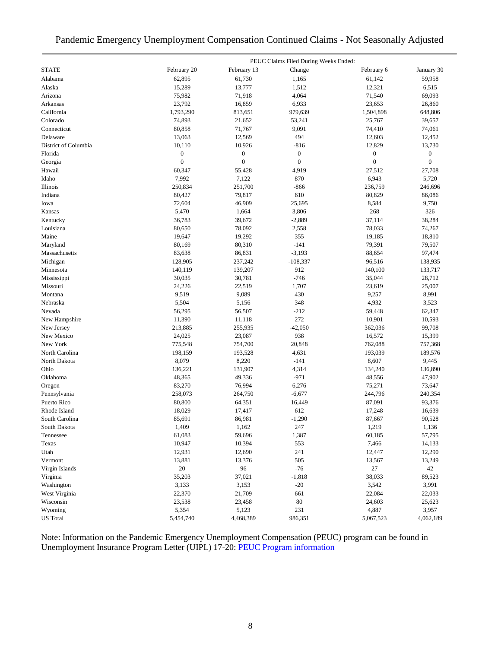### Pandemic Emergency Unemployment Compensation Continued Claims - Not Seasonally Adjusted

|                      |                  |                  | PEUC Claims Filed During Weeks Ended: |                  |                  |
|----------------------|------------------|------------------|---------------------------------------|------------------|------------------|
| <b>STATE</b>         | February 20      | February 13      | Change                                | February 6       | January 30       |
| Alabama              | 62,895           | 61,730           | 1,165                                 | 61,142           | 59,958           |
| Alaska               | 15,289           | 13,777           | 1,512                                 | 12,321           | 6,515            |
| Arizona              | 75,982           | 71,918           | 4,064                                 | 71,540           | 69,093           |
| Arkansas             | 23,792           | 16,859           | 6,933                                 | 23,653           | 26,860           |
| California           | 1,793,290        | 813,651          | 979,639                               | 1,504,898        | 648,806          |
| Colorado             | 74,893           | 21,652           | 53,241                                | 25,767           | 39,657           |
| Connecticut          | 80,858           | 71,767           | 9,091                                 | 74,410           | 74,061           |
| Delaware             | 13,063           | 12,569           | 494                                   | 12,603           | 12,452           |
| District of Columbia | 10,110           | 10,926           | $-816$                                | 12,829           | 13,730           |
| Florida              | $\boldsymbol{0}$ | $\boldsymbol{0}$ | $\boldsymbol{0}$                      | $\boldsymbol{0}$ | $\boldsymbol{0}$ |
| Georgia              | $\mathbf{0}$     | $\mathbf{0}$     | $\boldsymbol{0}$                      | $\boldsymbol{0}$ | $\boldsymbol{0}$ |
| Hawaii               | 60,347           | 55,428           | 4,919                                 | 27,512           | 27,708           |
| Idaho                | 7,992            | 7,122            | 870                                   | 6,943            | 5,720            |
| Illinois             | 250,834          | 251,700          | $-866$                                | 236,759          | 246,696          |
| Indiana              | 80,427           | 79,817           | 610                                   | 80,829           | 86,086           |
| Iowa                 | 72,604           | 46,909           | 25,695                                | 8,584            | 9,750            |
| Kansas               | 5,470            | 1,664            | 3,806                                 | 268              | 326              |
| Kentucky             | 36,783           | 39,672           | $-2,889$                              | 37,114           | 38,284           |
| Louisiana            | 80,650           | 78,092           | 2,558                                 | 78,033           | 74,267           |
| Maine                | 19,647           | 19,292           | 355                                   | 19,185           | 18,810           |
| Maryland             | 80,169           | 80,310           | $-141$                                | 79,391           | 79,507           |
| Massachusetts        | 83,638           | 86,831           | $-3,193$                              | 88,654           | 97,474           |
| Michigan             | 128,905          | 237,242          | $-108,337$                            | 96,516           | 138,935          |
| Minnesota            | 140,119          | 139,207          | 912                                   | 140,100          | 133,717          |
| Mississippi          | 30,035           | 30,781           | $-746$                                | 35,044           | 28,712           |
| Missouri             | 24,226           | 22,519           | 1,707                                 | 23,619           | 25,007           |
| Montana              | 9,519            | 9,089            | 430                                   | 9,257            | 8,991            |
| Nebraska             | 5,504            | 5,156            | 348                                   | 4,932            | 3,523            |
| Nevada               | 56,295           | 56,507           | $-212$                                | 59,448           | 62,347           |
| New Hampshire        | 11,390           | 11,118           | 272                                   | 10,901           | 10,593           |
| New Jersey           | 213,885          | 255,935          | $-42,050$                             | 362,036          | 99,708           |
| New Mexico           | 24,025           | 23,087           | 938                                   | 16,572           | 15,399           |
| New York             | 775,548          | 754,700          | 20,848                                | 762,088          | 757,368          |
| North Carolina       | 198,159          | 193,528          | 4,631                                 | 193,039          | 189,576          |
| North Dakota         | 8,079            | 8,220            | $-141$                                | 8,607            | 9,445            |
| Ohio                 | 136,221          | 131,907          | 4,314                                 | 134,240          | 136,890          |
| Oklahoma             | 48,365           | 49,336           | $-971$                                | 48,556           | 47,902           |
| Oregon               | 83,270           | 76,994           | 6,276                                 | 75,271           | 73,647           |
| Pennsylvania         | 258,073          | 264,750          | $-6,677$                              | 244,796          | 240,354          |
| Puerto Rico          | 80,800           | 64,351           | 16,449                                | 87,091           | 93,376           |
| Rhode Island         | 18,029           | 17,417           | 612                                   | 17,248           | 16,639           |
| South Carolina       | 85,691           | 86,981           | $-1,290$                              | 87,667           | 90,528           |
| South Dakota         | 1,409            | 1,162            | 247                                   | 1,219            | 1,136            |
| Tennessee            | 61,083           | 59,696           | 1,387                                 | 60,185           | 57,795           |
| Texas                | 10,947           | 10,394           | 553                                   | 7,466            | 14,133           |
| Utah                 | 12,931           | 12,690           | 241                                   | 12,447           | 12,290           |
| Vermont              | 13,881           | 13,376           | 505                                   | 13,567           | 13,249           |
| Virgin Islands       | 20               | 96               | $-76$                                 | $27\,$           | 42               |
| Virginia             | 35,203           | 37,021           | $-1,818$                              | 38,033           | 89,523           |
|                      |                  |                  |                                       |                  |                  |
| Washington           | 3,133            | 3,153            | $-20$                                 | 3,542            | 3,991            |
| West Virginia        | 22,370           | 21,709           | 661                                   | 22,084           | 22,033           |
| Wisconsin            | 23,538           | 23,458           | 80<br>231                             | 24,603           | 25,623           |
| Wyoming              | 5,354            | 5,123            |                                       | 4,887            | 3,957            |
| <b>US</b> Total      | 5,454,740        | 4,468,389        | 986,351                               | 5,067,523        | 4,062,189        |

Note: Information on the Pandemic Emergency Unemployment Compensation (PEUC) program can be found in Unemployment Insurance Program Letter (UIPL) 17-20: [PEUC Program information](https://wdr.doleta.gov/directives/corr_doc.cfm?DOCN=8452)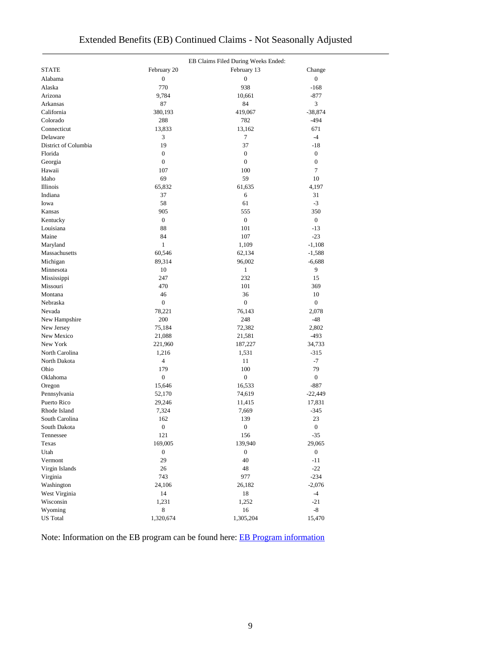| <b>STATE</b><br>February 20<br>February 13<br>Change<br>$\overline{0}$<br>Alabama<br>$\boldsymbol{0}$<br>$\boldsymbol{0}$<br>938<br>Alaska<br>770<br>$-168$<br>Arizona<br>9,784<br>10,661<br>$-877$<br>3<br>87<br>84<br>Arkansas<br>California<br>380,193<br>419,067<br>$-38,874$<br>Colorado<br>288<br>782<br>$-494$<br>Connecticut<br>671<br>13,833<br>13,162<br>3<br>7<br>$-4$<br>Delaware<br>37<br>District of Columbia<br>19<br>$-18$<br>Florida<br>$\boldsymbol{0}$<br>$\boldsymbol{0}$<br>$\boldsymbol{0}$<br>$\boldsymbol{0}$<br>$\boldsymbol{0}$<br>$\boldsymbol{0}$<br>Georgia<br>$\overline{7}$<br>Hawaii<br>100<br>107<br>69<br>59<br>Idaho<br>10<br>65,832<br>61,635<br>Illinois<br>4,197<br>Indiana<br>37<br>6<br>31<br>58<br>61<br>$-3$<br>Iowa<br>905<br>555<br>350<br>Kansas<br>$\overline{0}$<br>$\boldsymbol{0}$<br>$\boldsymbol{0}$<br>Kentucky<br>Louisiana<br>88<br>101<br>$-13$<br>$-23$<br>Maine<br>84<br>107<br>$\mathbf{1}$<br>1,109<br>$-1,108$<br>Maryland<br>Massachusetts<br>60,546<br>62,134<br>$-1,588$<br>Michigan<br>89,314<br>96,002<br>$-6,688$<br>10<br>$\mathbf{1}$<br>9<br>Minnesota<br>232<br>247<br>Mississippi<br>15<br>470<br>101<br>369<br>Missouri<br>46<br>36<br>10<br>Montana<br>$\boldsymbol{0}$<br>$\boldsymbol{0}$<br>$\boldsymbol{0}$<br>Nebraska<br>2,078<br>Nevada<br>78,221<br>76,143<br>200<br>248<br>$-48$<br>New Hampshire<br>72,382<br>New Jersey<br>75,184<br>2,802<br>New Mexico<br>21,088<br>21,581<br>$-493$<br>New York<br>221,960<br>187,227<br>34,733<br>North Carolina<br>$-315$<br>1,216<br>1,531<br>4<br>$-7$<br>North Dakota<br>11<br>Ohio<br>100<br>79<br>179<br>$\boldsymbol{0}$<br>$\boldsymbol{0}$<br>$\boldsymbol{0}$<br>Oklahoma<br>$-887$<br>Oregon<br>15,646<br>16,533<br>Pennsylvania<br>52,170<br>74,619<br>$-22,449$<br>Puerto Rico<br>29,246<br>11,415<br>17,831<br>7,324<br>Rhode Island<br>7,669<br>$-345$<br>162<br>139<br>23<br>South Carolina<br>South Dakota<br>$\boldsymbol{0}$<br>$\boldsymbol{0}$<br>$\boldsymbol{0}$<br>121<br>156<br>$-35$<br>Tennessee<br>Texas<br>169,005<br>139,940<br>29,065<br>$\boldsymbol{0}$<br>Utah<br>$\boldsymbol{0}$<br>$\boldsymbol{0}$<br>29<br>Vermont<br>40<br>$-11$<br>$-22$<br>Virgin Islands<br>26<br>48<br>977<br>$-234$<br>Virginia<br>743<br>Washington<br>24,106<br>26,182<br>$-2,076$<br>West Virginia<br>14<br>$-4$<br>18<br>Wisconsin<br>1,231<br>1,252<br>$-21$<br>8<br>$\mbox{-}8$<br>Wyoming<br>16 |                 |           | EB Claims Filed During Weeks Ended: |        |
|---------------------------------------------------------------------------------------------------------------------------------------------------------------------------------------------------------------------------------------------------------------------------------------------------------------------------------------------------------------------------------------------------------------------------------------------------------------------------------------------------------------------------------------------------------------------------------------------------------------------------------------------------------------------------------------------------------------------------------------------------------------------------------------------------------------------------------------------------------------------------------------------------------------------------------------------------------------------------------------------------------------------------------------------------------------------------------------------------------------------------------------------------------------------------------------------------------------------------------------------------------------------------------------------------------------------------------------------------------------------------------------------------------------------------------------------------------------------------------------------------------------------------------------------------------------------------------------------------------------------------------------------------------------------------------------------------------------------------------------------------------------------------------------------------------------------------------------------------------------------------------------------------------------------------------------------------------------------------------------------------------------------------------------------------------------------------------------------------------------------------------------------------------------------------------------------------------------------------------------------------------------------------------------------------------------------------------------------------------------------------------------------------------------------------------------------|-----------------|-----------|-------------------------------------|--------|
|                                                                                                                                                                                                                                                                                                                                                                                                                                                                                                                                                                                                                                                                                                                                                                                                                                                                                                                                                                                                                                                                                                                                                                                                                                                                                                                                                                                                                                                                                                                                                                                                                                                                                                                                                                                                                                                                                                                                                                                                                                                                                                                                                                                                                                                                                                                                                                                                                                             |                 |           |                                     |        |
|                                                                                                                                                                                                                                                                                                                                                                                                                                                                                                                                                                                                                                                                                                                                                                                                                                                                                                                                                                                                                                                                                                                                                                                                                                                                                                                                                                                                                                                                                                                                                                                                                                                                                                                                                                                                                                                                                                                                                                                                                                                                                                                                                                                                                                                                                                                                                                                                                                             |                 |           |                                     |        |
|                                                                                                                                                                                                                                                                                                                                                                                                                                                                                                                                                                                                                                                                                                                                                                                                                                                                                                                                                                                                                                                                                                                                                                                                                                                                                                                                                                                                                                                                                                                                                                                                                                                                                                                                                                                                                                                                                                                                                                                                                                                                                                                                                                                                                                                                                                                                                                                                                                             |                 |           |                                     |        |
|                                                                                                                                                                                                                                                                                                                                                                                                                                                                                                                                                                                                                                                                                                                                                                                                                                                                                                                                                                                                                                                                                                                                                                                                                                                                                                                                                                                                                                                                                                                                                                                                                                                                                                                                                                                                                                                                                                                                                                                                                                                                                                                                                                                                                                                                                                                                                                                                                                             |                 |           |                                     |        |
|                                                                                                                                                                                                                                                                                                                                                                                                                                                                                                                                                                                                                                                                                                                                                                                                                                                                                                                                                                                                                                                                                                                                                                                                                                                                                                                                                                                                                                                                                                                                                                                                                                                                                                                                                                                                                                                                                                                                                                                                                                                                                                                                                                                                                                                                                                                                                                                                                                             |                 |           |                                     |        |
|                                                                                                                                                                                                                                                                                                                                                                                                                                                                                                                                                                                                                                                                                                                                                                                                                                                                                                                                                                                                                                                                                                                                                                                                                                                                                                                                                                                                                                                                                                                                                                                                                                                                                                                                                                                                                                                                                                                                                                                                                                                                                                                                                                                                                                                                                                                                                                                                                                             |                 |           |                                     |        |
|                                                                                                                                                                                                                                                                                                                                                                                                                                                                                                                                                                                                                                                                                                                                                                                                                                                                                                                                                                                                                                                                                                                                                                                                                                                                                                                                                                                                                                                                                                                                                                                                                                                                                                                                                                                                                                                                                                                                                                                                                                                                                                                                                                                                                                                                                                                                                                                                                                             |                 |           |                                     |        |
|                                                                                                                                                                                                                                                                                                                                                                                                                                                                                                                                                                                                                                                                                                                                                                                                                                                                                                                                                                                                                                                                                                                                                                                                                                                                                                                                                                                                                                                                                                                                                                                                                                                                                                                                                                                                                                                                                                                                                                                                                                                                                                                                                                                                                                                                                                                                                                                                                                             |                 |           |                                     |        |
|                                                                                                                                                                                                                                                                                                                                                                                                                                                                                                                                                                                                                                                                                                                                                                                                                                                                                                                                                                                                                                                                                                                                                                                                                                                                                                                                                                                                                                                                                                                                                                                                                                                                                                                                                                                                                                                                                                                                                                                                                                                                                                                                                                                                                                                                                                                                                                                                                                             |                 |           |                                     |        |
|                                                                                                                                                                                                                                                                                                                                                                                                                                                                                                                                                                                                                                                                                                                                                                                                                                                                                                                                                                                                                                                                                                                                                                                                                                                                                                                                                                                                                                                                                                                                                                                                                                                                                                                                                                                                                                                                                                                                                                                                                                                                                                                                                                                                                                                                                                                                                                                                                                             |                 |           |                                     |        |
|                                                                                                                                                                                                                                                                                                                                                                                                                                                                                                                                                                                                                                                                                                                                                                                                                                                                                                                                                                                                                                                                                                                                                                                                                                                                                                                                                                                                                                                                                                                                                                                                                                                                                                                                                                                                                                                                                                                                                                                                                                                                                                                                                                                                                                                                                                                                                                                                                                             |                 |           |                                     |        |
|                                                                                                                                                                                                                                                                                                                                                                                                                                                                                                                                                                                                                                                                                                                                                                                                                                                                                                                                                                                                                                                                                                                                                                                                                                                                                                                                                                                                                                                                                                                                                                                                                                                                                                                                                                                                                                                                                                                                                                                                                                                                                                                                                                                                                                                                                                                                                                                                                                             |                 |           |                                     |        |
|                                                                                                                                                                                                                                                                                                                                                                                                                                                                                                                                                                                                                                                                                                                                                                                                                                                                                                                                                                                                                                                                                                                                                                                                                                                                                                                                                                                                                                                                                                                                                                                                                                                                                                                                                                                                                                                                                                                                                                                                                                                                                                                                                                                                                                                                                                                                                                                                                                             |                 |           |                                     |        |
|                                                                                                                                                                                                                                                                                                                                                                                                                                                                                                                                                                                                                                                                                                                                                                                                                                                                                                                                                                                                                                                                                                                                                                                                                                                                                                                                                                                                                                                                                                                                                                                                                                                                                                                                                                                                                                                                                                                                                                                                                                                                                                                                                                                                                                                                                                                                                                                                                                             |                 |           |                                     |        |
|                                                                                                                                                                                                                                                                                                                                                                                                                                                                                                                                                                                                                                                                                                                                                                                                                                                                                                                                                                                                                                                                                                                                                                                                                                                                                                                                                                                                                                                                                                                                                                                                                                                                                                                                                                                                                                                                                                                                                                                                                                                                                                                                                                                                                                                                                                                                                                                                                                             |                 |           |                                     |        |
|                                                                                                                                                                                                                                                                                                                                                                                                                                                                                                                                                                                                                                                                                                                                                                                                                                                                                                                                                                                                                                                                                                                                                                                                                                                                                                                                                                                                                                                                                                                                                                                                                                                                                                                                                                                                                                                                                                                                                                                                                                                                                                                                                                                                                                                                                                                                                                                                                                             |                 |           |                                     |        |
|                                                                                                                                                                                                                                                                                                                                                                                                                                                                                                                                                                                                                                                                                                                                                                                                                                                                                                                                                                                                                                                                                                                                                                                                                                                                                                                                                                                                                                                                                                                                                                                                                                                                                                                                                                                                                                                                                                                                                                                                                                                                                                                                                                                                                                                                                                                                                                                                                                             |                 |           |                                     |        |
|                                                                                                                                                                                                                                                                                                                                                                                                                                                                                                                                                                                                                                                                                                                                                                                                                                                                                                                                                                                                                                                                                                                                                                                                                                                                                                                                                                                                                                                                                                                                                                                                                                                                                                                                                                                                                                                                                                                                                                                                                                                                                                                                                                                                                                                                                                                                                                                                                                             |                 |           |                                     |        |
|                                                                                                                                                                                                                                                                                                                                                                                                                                                                                                                                                                                                                                                                                                                                                                                                                                                                                                                                                                                                                                                                                                                                                                                                                                                                                                                                                                                                                                                                                                                                                                                                                                                                                                                                                                                                                                                                                                                                                                                                                                                                                                                                                                                                                                                                                                                                                                                                                                             |                 |           |                                     |        |
|                                                                                                                                                                                                                                                                                                                                                                                                                                                                                                                                                                                                                                                                                                                                                                                                                                                                                                                                                                                                                                                                                                                                                                                                                                                                                                                                                                                                                                                                                                                                                                                                                                                                                                                                                                                                                                                                                                                                                                                                                                                                                                                                                                                                                                                                                                                                                                                                                                             |                 |           |                                     |        |
|                                                                                                                                                                                                                                                                                                                                                                                                                                                                                                                                                                                                                                                                                                                                                                                                                                                                                                                                                                                                                                                                                                                                                                                                                                                                                                                                                                                                                                                                                                                                                                                                                                                                                                                                                                                                                                                                                                                                                                                                                                                                                                                                                                                                                                                                                                                                                                                                                                             |                 |           |                                     |        |
|                                                                                                                                                                                                                                                                                                                                                                                                                                                                                                                                                                                                                                                                                                                                                                                                                                                                                                                                                                                                                                                                                                                                                                                                                                                                                                                                                                                                                                                                                                                                                                                                                                                                                                                                                                                                                                                                                                                                                                                                                                                                                                                                                                                                                                                                                                                                                                                                                                             |                 |           |                                     |        |
|                                                                                                                                                                                                                                                                                                                                                                                                                                                                                                                                                                                                                                                                                                                                                                                                                                                                                                                                                                                                                                                                                                                                                                                                                                                                                                                                                                                                                                                                                                                                                                                                                                                                                                                                                                                                                                                                                                                                                                                                                                                                                                                                                                                                                                                                                                                                                                                                                                             |                 |           |                                     |        |
|                                                                                                                                                                                                                                                                                                                                                                                                                                                                                                                                                                                                                                                                                                                                                                                                                                                                                                                                                                                                                                                                                                                                                                                                                                                                                                                                                                                                                                                                                                                                                                                                                                                                                                                                                                                                                                                                                                                                                                                                                                                                                                                                                                                                                                                                                                                                                                                                                                             |                 |           |                                     |        |
|                                                                                                                                                                                                                                                                                                                                                                                                                                                                                                                                                                                                                                                                                                                                                                                                                                                                                                                                                                                                                                                                                                                                                                                                                                                                                                                                                                                                                                                                                                                                                                                                                                                                                                                                                                                                                                                                                                                                                                                                                                                                                                                                                                                                                                                                                                                                                                                                                                             |                 |           |                                     |        |
|                                                                                                                                                                                                                                                                                                                                                                                                                                                                                                                                                                                                                                                                                                                                                                                                                                                                                                                                                                                                                                                                                                                                                                                                                                                                                                                                                                                                                                                                                                                                                                                                                                                                                                                                                                                                                                                                                                                                                                                                                                                                                                                                                                                                                                                                                                                                                                                                                                             |                 |           |                                     |        |
|                                                                                                                                                                                                                                                                                                                                                                                                                                                                                                                                                                                                                                                                                                                                                                                                                                                                                                                                                                                                                                                                                                                                                                                                                                                                                                                                                                                                                                                                                                                                                                                                                                                                                                                                                                                                                                                                                                                                                                                                                                                                                                                                                                                                                                                                                                                                                                                                                                             |                 |           |                                     |        |
|                                                                                                                                                                                                                                                                                                                                                                                                                                                                                                                                                                                                                                                                                                                                                                                                                                                                                                                                                                                                                                                                                                                                                                                                                                                                                                                                                                                                                                                                                                                                                                                                                                                                                                                                                                                                                                                                                                                                                                                                                                                                                                                                                                                                                                                                                                                                                                                                                                             |                 |           |                                     |        |
|                                                                                                                                                                                                                                                                                                                                                                                                                                                                                                                                                                                                                                                                                                                                                                                                                                                                                                                                                                                                                                                                                                                                                                                                                                                                                                                                                                                                                                                                                                                                                                                                                                                                                                                                                                                                                                                                                                                                                                                                                                                                                                                                                                                                                                                                                                                                                                                                                                             |                 |           |                                     |        |
|                                                                                                                                                                                                                                                                                                                                                                                                                                                                                                                                                                                                                                                                                                                                                                                                                                                                                                                                                                                                                                                                                                                                                                                                                                                                                                                                                                                                                                                                                                                                                                                                                                                                                                                                                                                                                                                                                                                                                                                                                                                                                                                                                                                                                                                                                                                                                                                                                                             |                 |           |                                     |        |
|                                                                                                                                                                                                                                                                                                                                                                                                                                                                                                                                                                                                                                                                                                                                                                                                                                                                                                                                                                                                                                                                                                                                                                                                                                                                                                                                                                                                                                                                                                                                                                                                                                                                                                                                                                                                                                                                                                                                                                                                                                                                                                                                                                                                                                                                                                                                                                                                                                             |                 |           |                                     |        |
|                                                                                                                                                                                                                                                                                                                                                                                                                                                                                                                                                                                                                                                                                                                                                                                                                                                                                                                                                                                                                                                                                                                                                                                                                                                                                                                                                                                                                                                                                                                                                                                                                                                                                                                                                                                                                                                                                                                                                                                                                                                                                                                                                                                                                                                                                                                                                                                                                                             |                 |           |                                     |        |
|                                                                                                                                                                                                                                                                                                                                                                                                                                                                                                                                                                                                                                                                                                                                                                                                                                                                                                                                                                                                                                                                                                                                                                                                                                                                                                                                                                                                                                                                                                                                                                                                                                                                                                                                                                                                                                                                                                                                                                                                                                                                                                                                                                                                                                                                                                                                                                                                                                             |                 |           |                                     |        |
|                                                                                                                                                                                                                                                                                                                                                                                                                                                                                                                                                                                                                                                                                                                                                                                                                                                                                                                                                                                                                                                                                                                                                                                                                                                                                                                                                                                                                                                                                                                                                                                                                                                                                                                                                                                                                                                                                                                                                                                                                                                                                                                                                                                                                                                                                                                                                                                                                                             |                 |           |                                     |        |
|                                                                                                                                                                                                                                                                                                                                                                                                                                                                                                                                                                                                                                                                                                                                                                                                                                                                                                                                                                                                                                                                                                                                                                                                                                                                                                                                                                                                                                                                                                                                                                                                                                                                                                                                                                                                                                                                                                                                                                                                                                                                                                                                                                                                                                                                                                                                                                                                                                             |                 |           |                                     |        |
|                                                                                                                                                                                                                                                                                                                                                                                                                                                                                                                                                                                                                                                                                                                                                                                                                                                                                                                                                                                                                                                                                                                                                                                                                                                                                                                                                                                                                                                                                                                                                                                                                                                                                                                                                                                                                                                                                                                                                                                                                                                                                                                                                                                                                                                                                                                                                                                                                                             |                 |           |                                     |        |
|                                                                                                                                                                                                                                                                                                                                                                                                                                                                                                                                                                                                                                                                                                                                                                                                                                                                                                                                                                                                                                                                                                                                                                                                                                                                                                                                                                                                                                                                                                                                                                                                                                                                                                                                                                                                                                                                                                                                                                                                                                                                                                                                                                                                                                                                                                                                                                                                                                             |                 |           |                                     |        |
|                                                                                                                                                                                                                                                                                                                                                                                                                                                                                                                                                                                                                                                                                                                                                                                                                                                                                                                                                                                                                                                                                                                                                                                                                                                                                                                                                                                                                                                                                                                                                                                                                                                                                                                                                                                                                                                                                                                                                                                                                                                                                                                                                                                                                                                                                                                                                                                                                                             |                 |           |                                     |        |
|                                                                                                                                                                                                                                                                                                                                                                                                                                                                                                                                                                                                                                                                                                                                                                                                                                                                                                                                                                                                                                                                                                                                                                                                                                                                                                                                                                                                                                                                                                                                                                                                                                                                                                                                                                                                                                                                                                                                                                                                                                                                                                                                                                                                                                                                                                                                                                                                                                             |                 |           |                                     |        |
|                                                                                                                                                                                                                                                                                                                                                                                                                                                                                                                                                                                                                                                                                                                                                                                                                                                                                                                                                                                                                                                                                                                                                                                                                                                                                                                                                                                                                                                                                                                                                                                                                                                                                                                                                                                                                                                                                                                                                                                                                                                                                                                                                                                                                                                                                                                                                                                                                                             |                 |           |                                     |        |
|                                                                                                                                                                                                                                                                                                                                                                                                                                                                                                                                                                                                                                                                                                                                                                                                                                                                                                                                                                                                                                                                                                                                                                                                                                                                                                                                                                                                                                                                                                                                                                                                                                                                                                                                                                                                                                                                                                                                                                                                                                                                                                                                                                                                                                                                                                                                                                                                                                             |                 |           |                                     |        |
|                                                                                                                                                                                                                                                                                                                                                                                                                                                                                                                                                                                                                                                                                                                                                                                                                                                                                                                                                                                                                                                                                                                                                                                                                                                                                                                                                                                                                                                                                                                                                                                                                                                                                                                                                                                                                                                                                                                                                                                                                                                                                                                                                                                                                                                                                                                                                                                                                                             |                 |           |                                     |        |
|                                                                                                                                                                                                                                                                                                                                                                                                                                                                                                                                                                                                                                                                                                                                                                                                                                                                                                                                                                                                                                                                                                                                                                                                                                                                                                                                                                                                                                                                                                                                                                                                                                                                                                                                                                                                                                                                                                                                                                                                                                                                                                                                                                                                                                                                                                                                                                                                                                             |                 |           |                                     |        |
|                                                                                                                                                                                                                                                                                                                                                                                                                                                                                                                                                                                                                                                                                                                                                                                                                                                                                                                                                                                                                                                                                                                                                                                                                                                                                                                                                                                                                                                                                                                                                                                                                                                                                                                                                                                                                                                                                                                                                                                                                                                                                                                                                                                                                                                                                                                                                                                                                                             |                 |           |                                     |        |
|                                                                                                                                                                                                                                                                                                                                                                                                                                                                                                                                                                                                                                                                                                                                                                                                                                                                                                                                                                                                                                                                                                                                                                                                                                                                                                                                                                                                                                                                                                                                                                                                                                                                                                                                                                                                                                                                                                                                                                                                                                                                                                                                                                                                                                                                                                                                                                                                                                             |                 |           |                                     |        |
|                                                                                                                                                                                                                                                                                                                                                                                                                                                                                                                                                                                                                                                                                                                                                                                                                                                                                                                                                                                                                                                                                                                                                                                                                                                                                                                                                                                                                                                                                                                                                                                                                                                                                                                                                                                                                                                                                                                                                                                                                                                                                                                                                                                                                                                                                                                                                                                                                                             |                 |           |                                     |        |
|                                                                                                                                                                                                                                                                                                                                                                                                                                                                                                                                                                                                                                                                                                                                                                                                                                                                                                                                                                                                                                                                                                                                                                                                                                                                                                                                                                                                                                                                                                                                                                                                                                                                                                                                                                                                                                                                                                                                                                                                                                                                                                                                                                                                                                                                                                                                                                                                                                             |                 |           |                                     |        |
|                                                                                                                                                                                                                                                                                                                                                                                                                                                                                                                                                                                                                                                                                                                                                                                                                                                                                                                                                                                                                                                                                                                                                                                                                                                                                                                                                                                                                                                                                                                                                                                                                                                                                                                                                                                                                                                                                                                                                                                                                                                                                                                                                                                                                                                                                                                                                                                                                                             |                 |           |                                     |        |
|                                                                                                                                                                                                                                                                                                                                                                                                                                                                                                                                                                                                                                                                                                                                                                                                                                                                                                                                                                                                                                                                                                                                                                                                                                                                                                                                                                                                                                                                                                                                                                                                                                                                                                                                                                                                                                                                                                                                                                                                                                                                                                                                                                                                                                                                                                                                                                                                                                             |                 |           |                                     |        |
|                                                                                                                                                                                                                                                                                                                                                                                                                                                                                                                                                                                                                                                                                                                                                                                                                                                                                                                                                                                                                                                                                                                                                                                                                                                                                                                                                                                                                                                                                                                                                                                                                                                                                                                                                                                                                                                                                                                                                                                                                                                                                                                                                                                                                                                                                                                                                                                                                                             |                 |           |                                     |        |
|                                                                                                                                                                                                                                                                                                                                                                                                                                                                                                                                                                                                                                                                                                                                                                                                                                                                                                                                                                                                                                                                                                                                                                                                                                                                                                                                                                                                                                                                                                                                                                                                                                                                                                                                                                                                                                                                                                                                                                                                                                                                                                                                                                                                                                                                                                                                                                                                                                             |                 |           |                                     |        |
|                                                                                                                                                                                                                                                                                                                                                                                                                                                                                                                                                                                                                                                                                                                                                                                                                                                                                                                                                                                                                                                                                                                                                                                                                                                                                                                                                                                                                                                                                                                                                                                                                                                                                                                                                                                                                                                                                                                                                                                                                                                                                                                                                                                                                                                                                                                                                                                                                                             |                 |           |                                     |        |
|                                                                                                                                                                                                                                                                                                                                                                                                                                                                                                                                                                                                                                                                                                                                                                                                                                                                                                                                                                                                                                                                                                                                                                                                                                                                                                                                                                                                                                                                                                                                                                                                                                                                                                                                                                                                                                                                                                                                                                                                                                                                                                                                                                                                                                                                                                                                                                                                                                             |                 |           |                                     |        |
|                                                                                                                                                                                                                                                                                                                                                                                                                                                                                                                                                                                                                                                                                                                                                                                                                                                                                                                                                                                                                                                                                                                                                                                                                                                                                                                                                                                                                                                                                                                                                                                                                                                                                                                                                                                                                                                                                                                                                                                                                                                                                                                                                                                                                                                                                                                                                                                                                                             |                 |           |                                     |        |
|                                                                                                                                                                                                                                                                                                                                                                                                                                                                                                                                                                                                                                                                                                                                                                                                                                                                                                                                                                                                                                                                                                                                                                                                                                                                                                                                                                                                                                                                                                                                                                                                                                                                                                                                                                                                                                                                                                                                                                                                                                                                                                                                                                                                                                                                                                                                                                                                                                             | <b>US</b> Total | 1,320,674 | 1,305,204                           | 15,470 |

## Extended Benefits (EB) Continued Claims - Not Seasonally Adjusted

Note: Information on the EB program can be found here: [EB Program information](https://oui.doleta.gov/unemploy/extenben.asp)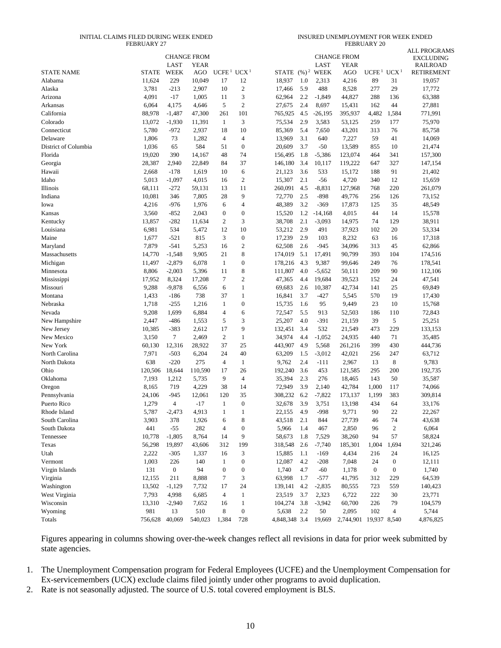#### INITIAL CLAIMS FILED DURING WEEK ENDED FEBRUARY 27

INSURED UNEMPLOYMENT FOR WEEK ENDED FEBRUARY 20

|                      |              |                  |                                   |                                    |                  |               |                   |             |                                   |                   |                  | <b>ALL PROGRAMS</b>          |
|----------------------|--------------|------------------|-----------------------------------|------------------------------------|------------------|---------------|-------------------|-------------|-----------------------------------|-------------------|------------------|------------------------------|
|                      |              | LAST             | <b>CHANGE FROM</b><br><b>YEAR</b> |                                    |                  |               |                   | <b>LAST</b> | <b>CHANGE FROM</b><br><b>YEAR</b> |                   |                  | EXCLUDING<br><b>RAILROAD</b> |
| <b>STATE NAME</b>    | <b>STATE</b> | WEEK             | AGO                               | UCFE <sup>1</sup> UCX <sup>1</sup> |                  | STATE         | $(\frac{9}{6})^2$ | <b>WEEK</b> | AGO                               | UCFE <sup>1</sup> | UCX <sup>1</sup> | <b>RETIREMENT</b>            |
| Alabama              | 11,624       | 229              | 10,049                            | 17                                 | 12               | 18,937        | 1.0               | 2,313       | 4,216                             | 89                | 31               | 19,057                       |
| Alaska               | 3,781        | $-213$           | 2,907                             | 10                                 | $\mathbf{2}$     | 17,466        | 5.9               | 488         | 8,528                             | 277               | 29               | 17,772                       |
| Arizona              | 4,091        | $-17$            | 1,005                             | 11                                 | 3                | 62,964        | 2.2               | $-1,849$    | 44,827                            | 288               | 136              | 63,388                       |
| Arkansas             | 6,064        | 4,175            | 4,646                             | 5                                  | $\mathfrak{2}$   | 27,675        | 2.4               | 8,697       | 15,431                            | 162               | 44               | 27,881                       |
| California           | 88,978       | $-1,487$         | 47,300                            | 261                                | 101              | 765,925       | 4.5               | $-26,195$   | 395,937                           | 4,482             | 1,584            | 771,991                      |
| Colorado             | 13,072       | $-1,930$         | 11,391                            | 1                                  | 3                | 75,534        | 2.9               | 3,583       | 53,125                            | 259               | 177              | 75,970                       |
| Connecticut          | 5,780        | $-972$           | 2,937                             | 18                                 | 10               | 85,369        | 5.4               | 7,650       | 43,201                            | 313               | 76               | 85,758                       |
| Delaware             | 1,806        | 73               | 1,282                             | 4                                  | $\overline{4}$   | 13,969        | 3.1               | 640         | 7,227                             | 59                | 41               | 14,069                       |
| District of Columbia | 1,036        | 65               | 584                               | 51                                 | $\mathbf{0}$     | 20,609        | 3.7               | $-50$       | 13,589                            | 855               | 10               | 21,474                       |
| Florida              | 19,020       | 390              | 14,167                            | 48                                 | 74               | 156,495       | 1.8               | $-5,386$    | 123,074                           | 464               | 341              | 157,300                      |
| Georgia              | 28,387       | 2,940            | 22,849                            | 84                                 | 37               | 146,180       | 3.4               | 10,117      | 119,222                           | 647               | 327              | 147,154                      |
| Hawaii               | 2,668        | $-178$           | 1,619                             | 10                                 | 6                | 21,123        | 3.6               | 533         | 15,172                            | 188               | 91               | 21,402                       |
| Idaho                | 5,013        | $-1,097$         | 4,015                             | 16                                 | $\mathbf{2}$     | 15,307        | 2.1               | $-56$       | 4,720                             | 340               | 12               | 15,659                       |
| Illinois             | 68,111       | $-272$           | 59,131                            | 13                                 | 11               | 260,091       | 4.5               | $-8,831$    | 127,968                           | 768               | 220              | 261,079                      |
| Indiana              | 10,081       | 346              | 7,805                             | 28                                 | 9                | 72,770        | 2.5               | $-898$      | 49,776                            | 256               | 126              | 73,152                       |
| Iowa                 | 4,216        | $-976$           | 1,976                             | 6                                  | $\overline{4}$   | 48,389        | 3.2               | $-369$      | 17,873                            | 125               | 35               | 48,549                       |
| Kansas               | 3,560        | $-852$           | 2,043                             | $\boldsymbol{0}$                   | $\boldsymbol{0}$ | 15,520        | 1.2               | $-14,168$   | 4,015                             | 44                | 14               | 15,578                       |
| Kentucky             | 13,857       | $-282$           | 11,634                            | 2                                  | 3                | 38,708        | 2.1               | $-3,093$    | 14,975                            | 74                | 129              | 38,911                       |
| Louisiana            | 6,981        | 534              | 5,472                             | 12                                 | 10               | 53,212        | 2.9               | 491         | 37,923                            | 102               | 20               | 53,334                       |
| Maine                | 1,677        | $-521$           | 815                               | 3                                  | $\boldsymbol{0}$ | 17,239        | 2.9               | 103         | 8,232                             | 63                | 16               | 17,318                       |
| Maryland             | 7,879        | $-541$           | 5,253                             | 16                                 | $\sqrt{2}$       | 62,508        | 2.6               | $-945$      | 34,096                            | 313               | 45               | 62,866                       |
| Massachusetts        | 14,770       | $-1,548$         | 9,905                             | 21                                 | 8                | 174,019       | 5.1               | 17,491      | 90,799                            | 393               | 104              | 174,516                      |
| Michigan             | 11,497       | $-2,879$         | 6,078                             | 1                                  | $\boldsymbol{0}$ | 178,216       | 4.3               | 9,387       | 99,646                            | 249               | 76               | 178,541                      |
| Minnesota            | 8,806        | $-2,003$         | 5,396                             | 11                                 | 8                | 111,807       | 4.0               | $-5,652$    | 50,111                            | 209               | 90               | 112,106                      |
| Mississippi          | 17,952       | 8,324            | 17,208                            | 7                                  | $\sqrt{2}$       | 47,365        | 4.4               | 19,684      | 39,523                            | 152               | 24               | 47,541                       |
| Missouri             | 9,288        | $-9,878$         | 6,556                             | 6                                  | $\mathbf{1}$     | 69,683        | 2.6               | 10,387      | 42,734                            | 141               | 25               | 69,849                       |
| Montana              | 1,433        | $-186$           | 738                               | 37                                 | $\mathbf{1}$     | 16,841        | 3.7               | $-427$      | 5,545                             | 570               | 19               | 17,430                       |
| Nebraska             | 1,718        | $-255$           | 1,216                             | 1                                  | $\boldsymbol{0}$ | 15,735        | 1.6               | 95          | 9,449                             | 23                | 10               | 15,768                       |
| Nevada               | 9,208        | 1,699            | 6,884                             | 4                                  | 6                | 72,547        | 5.5               | 913         | 52,503                            | 186               | 110              | 72,843                       |
| New Hampshire        | 2,447        | $-486$           | 1,553                             | 5                                  | 3                | 25,207        | 4.0               | $-391$      | 21,159                            | 39                | 5                | 25,251                       |
| New Jersey           | 10,385       | $-383$           | 2,612                             | 17                                 | 9                | 132,451       | 3.4               | 532         | 21,549                            | 473               | 229              | 133,153                      |
| New Mexico           | 3,150        | 7                | 2,469                             | 2                                  | $\mathbf{1}$     | 34,974        | 4.4               | $-1,052$    | 24,935                            | 440               | 71               | 35,485                       |
| New York             | 60,130       | 12,316           | 28,922                            | 37                                 | 25               | 443,907       | 4.9               | 5,568       | 261,216                           | 399               | 430              | 444,736                      |
| North Carolina       | 7,971        | $-503$           | 6,204                             | 24                                 | 40               | 63,209        | 1.5               | $-3,012$    | 42,021                            | 256               | 247              | 63,712                       |
| North Dakota         | 638          | $-220$           | 275                               | 4                                  | $\mathbf{1}$     | 9,762         | 2.4               | -111        | 2,967                             | 13                | 8                | 9,783                        |
| Ohio                 | 120,506      | 18,644           | 110,590                           | 17                                 | 26               | 192,240       | 3.6               | 453         | 121,585                           | 295               | 200              | 192,735                      |
| Oklahoma             | 7,193        | 1,212            | 5,735                             | 9                                  | $\overline{4}$   | 35,394        | 2.3               | 276         | 18,465                            | 143               | 50               | 35,587                       |
| Oregon               | 8,165        | 719              | 4,229                             | 38                                 | 14               | 72,949        | 3.9               | 2,140       | 42,784                            | 1,000             | 117              | 74,066                       |
| Pennsylvania         | 24,106       | $-945$           | 12,061                            | 120                                | 35               | 308,232       | 6.2               | $-7,822$    | 173,137                           | 1,199             | 383              | 309,814                      |
| Puerto Rico          | 1,279        | $\overline{4}$   | $-17$                             | $\mathbf{1}$                       | $\boldsymbol{0}$ | 32,678        | 3.9               | 3,751       | 13,198                            | 434               | 64               | 33,176                       |
| Rhode Island         | 5,787        | $-2,473$         | 4,913                             | $\mathbf{1}$                       | 1                | 22,155        | 4.9               | $-998$      | 9,771                             | 90                | 22               | 22,267                       |
| South Carolina       | 3,903        | 378              | 1,926                             | 6                                  | 8                | 43,518        | 2.1               | 844         | 27,739                            | 46                | 74               | 43,638                       |
| South Dakota         | 441          | $-55$            | 282                               | 4                                  | $\boldsymbol{0}$ | 5,966         | 1.4               | 467         | 2,850                             | 96                | $\sqrt{2}$       | 6,064                        |
| Tennessee            | 10,778       | $-1,805$         | 8,764                             | 14                                 | 9                | 58,673        | 1.8               | 7,529       | 38,260                            | 94                | 57               | 58,824                       |
| Texas                | 56,298       | 19,897           | 43,606                            | 312                                | 199              | 318,548       | 2.6               | $-7,740$    | 185,301                           | 1,004             | 1,694            | 321,246                      |
| Utah                 | 2,222        | $-305$           | 1,337                             | 16                                 | 3                | 15,885        | 1.1               | $-169$      | 4,434                             | 216               | 24               | 16,125                       |
| Vermont              | 1,003        | 226              | 140                               | 1                                  | $\boldsymbol{0}$ | 12,087        | 4.2               | $-208$      | 7,048                             | 24                | $\boldsymbol{0}$ | 12,111                       |
| Virgin Islands       | 131          | $\boldsymbol{0}$ | 94                                | $\boldsymbol{0}$                   | $\boldsymbol{0}$ | 1,740         | 4.7               | $-60$       | 1,178                             | $\boldsymbol{0}$  | $\boldsymbol{0}$ | 1,740                        |
| Virginia             | 12,155       | 211              | 8,888                             | 7                                  | 3                | 63,998        | 1.7               | $-577$      | 41,795                            | 312               | 229              | 64,539                       |
| Washington           | 13,502       | $-1,129$         | 7,732                             | 17                                 | 24               | 139,141       | 4.2               | $-2,835$    | 80,555                            | 723               | 559              | 140,423                      |
| West Virginia        | 7,793        | 4,998            | 6,685                             | 4                                  | $\mathbf{1}$     | 23,519        | 3.7               | 2,323       | 6,722                             | 222               | 30               | 23,771                       |
| Wisconsin            | 13,310       | $-2,940$         | 7,652                             | 16                                 | $\mathbf{1}$     | 104,274       | 3.8               | $-3,942$    | 60,700                            | 226               | 79               | 104,579                      |
| Wyoming              | 981          | 13               | 510                               | 8                                  | $\boldsymbol{0}$ | 5,638         | 2.2               | 50          | 2,095                             | 102               | $\overline{4}$   | 5,744                        |
| Totals               | 756,628      | 40,069           | 540,023                           | 1,384                              | 728              | 4,848,348 3.4 |                   | 19,669      | 2,744,901                         | 19,937 8,540      |                  | 4,876,825                    |

Figures appearing in columns showing over-the-week changes reflect all revisions in data for prior week submitted by state agencies.

1. The Unemployment Compensation program for Federal Employees (UCFE) and the Unemployment Compensation for Ex-servicemembers (UCX) exclude claims filed jointly under other programs to avoid duplication.

2. Rate is not seasonally adjusted. The source of U.S. total covered employment is BLS.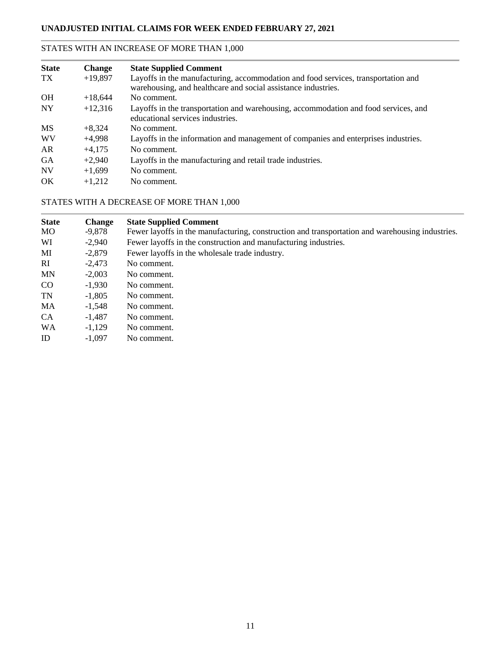### STATES WITH AN INCREASE OF MORE THAN 1,000

| <b>State</b> | <b>Change</b> | <b>State Supplied Comment</b>                                                                                                                      |
|--------------|---------------|----------------------------------------------------------------------------------------------------------------------------------------------------|
| TX.          | $+19,897$     | Layoffs in the manufacturing, accommodation and food services, transportation and<br>warehousing, and healthcare and social assistance industries. |
| OH           | $+18,644$     | No comment.                                                                                                                                        |
| <b>NY</b>    | $+12,316$     | Layoffs in the transportation and warehousing, accommodation and food services, and<br>educational services industries.                            |
| <b>MS</b>    | $+8,324$      | No comment.                                                                                                                                        |
| <b>WV</b>    | $+4,998$      | Layoffs in the information and management of companies and enterprises industries.                                                                 |
| AR           | $+4,175$      | No comment.                                                                                                                                        |
| <b>GA</b>    | $+2.940$      | Layoffs in the manufacturing and retail trade industries.                                                                                          |
| <b>NV</b>    | $+1,699$      | No comment.                                                                                                                                        |
| OK           | $+1.212$      | No comment.                                                                                                                                        |

### STATES WITH A DECREASE OF MORE THAN 1,000

| <b>State</b> | <b>Change</b> | <b>State Supplied Comment</b>                                                                   |
|--------------|---------------|-------------------------------------------------------------------------------------------------|
| MO.          | -9,878        | Fewer layoffs in the manufacturing, construction and transportation and warehousing industries. |
| WI           | $-2,940$      | Fewer layoffs in the construction and manufacturing industries.                                 |
| MI           | $-2,879$      | Fewer layoffs in the wholesale trade industry.                                                  |
| RI.          | $-2,473$      | No comment.                                                                                     |
| <b>MN</b>    | $-2,003$      | No comment.                                                                                     |
| CO           | $-1,930$      | No comment.                                                                                     |
| <b>TN</b>    | $-1.805$      | No comment.                                                                                     |
| MA           | $-1,548$      | No comment.                                                                                     |
| <b>CA</b>    | $-1,487$      | No comment.                                                                                     |
| <b>WA</b>    | $-1,129$      | No comment.                                                                                     |
| ID           | $-1.097$      | No comment.                                                                                     |